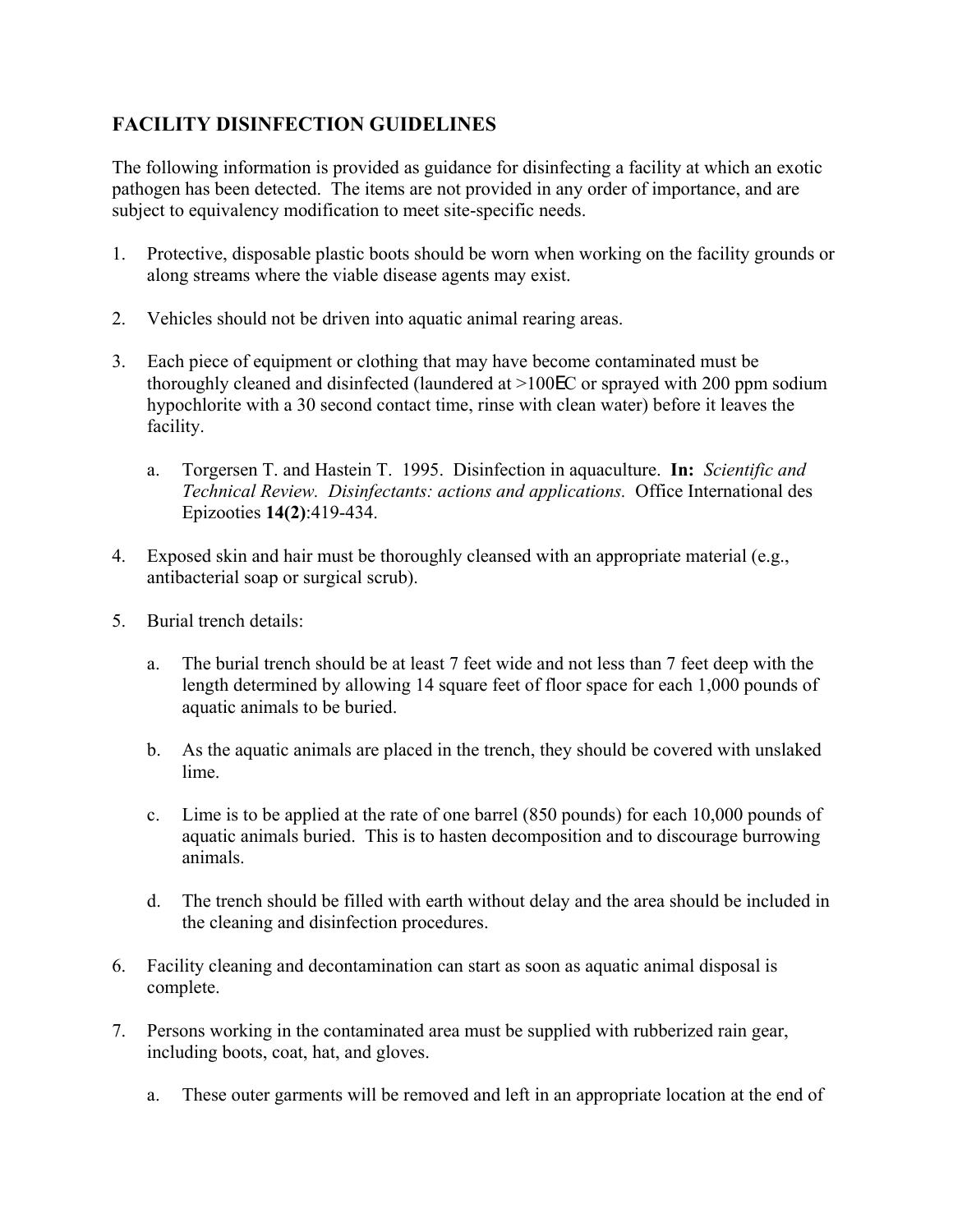## **FACILITY DISINFECTION GUIDELINES**

The following information is provided as guidance for disinfecting a facility at which an exotic pathogen has been detected. The items are not provided in any order of importance, and are subject to equivalency modification to meet site-specific needs.

- 1. Protective, disposable plastic boots should be worn when working on the facility grounds or along streams where the viable disease agents may exist.
- 2. Vehicles should not be driven into aquatic animal rearing areas.
- 3. Each piece of equipment or clothing that may have become contaminated must be thoroughly cleaned and disinfected (laundered at >100EC or sprayed with 200 ppm sodium hypochlorite with a 30 second contact time, rinse with clean water) before it leaves the facility.
	- a. Torgersen T. and Hastein T. 1995. Disinfection in aquaculture. **In:** *Scientific and Technical Review. Disinfectants: actions and applications.* Office International des Epizooties **14(2)**:419-434.
- 4. Exposed skin and hair must be thoroughly cleansed with an appropriate material (e.g., antibacterial soap or surgical scrub).
- 5. Burial trench details:
	- a. The burial trench should be at least 7 feet wide and not less than 7 feet deep with the length determined by allowing 14 square feet of floor space for each 1,000 pounds of aquatic animals to be buried.
	- b. As the aquatic animals are placed in the trench, they should be covered with unslaked lime.
	- c. Lime is to be applied at the rate of one barrel (850 pounds) for each 10,000 pounds of aquatic animals buried. This is to hasten decomposition and to discourage burrowing animals.
	- d. The trench should be filled with earth without delay and the area should be included in the cleaning and disinfection procedures.
- 6. Facility cleaning and decontamination can start as soon as aquatic animal disposal is complete.
- 7. Persons working in the contaminated area must be supplied with rubberized rain gear, including boots, coat, hat, and gloves.
	- a. These outer garments will be removed and left in an appropriate location at the end of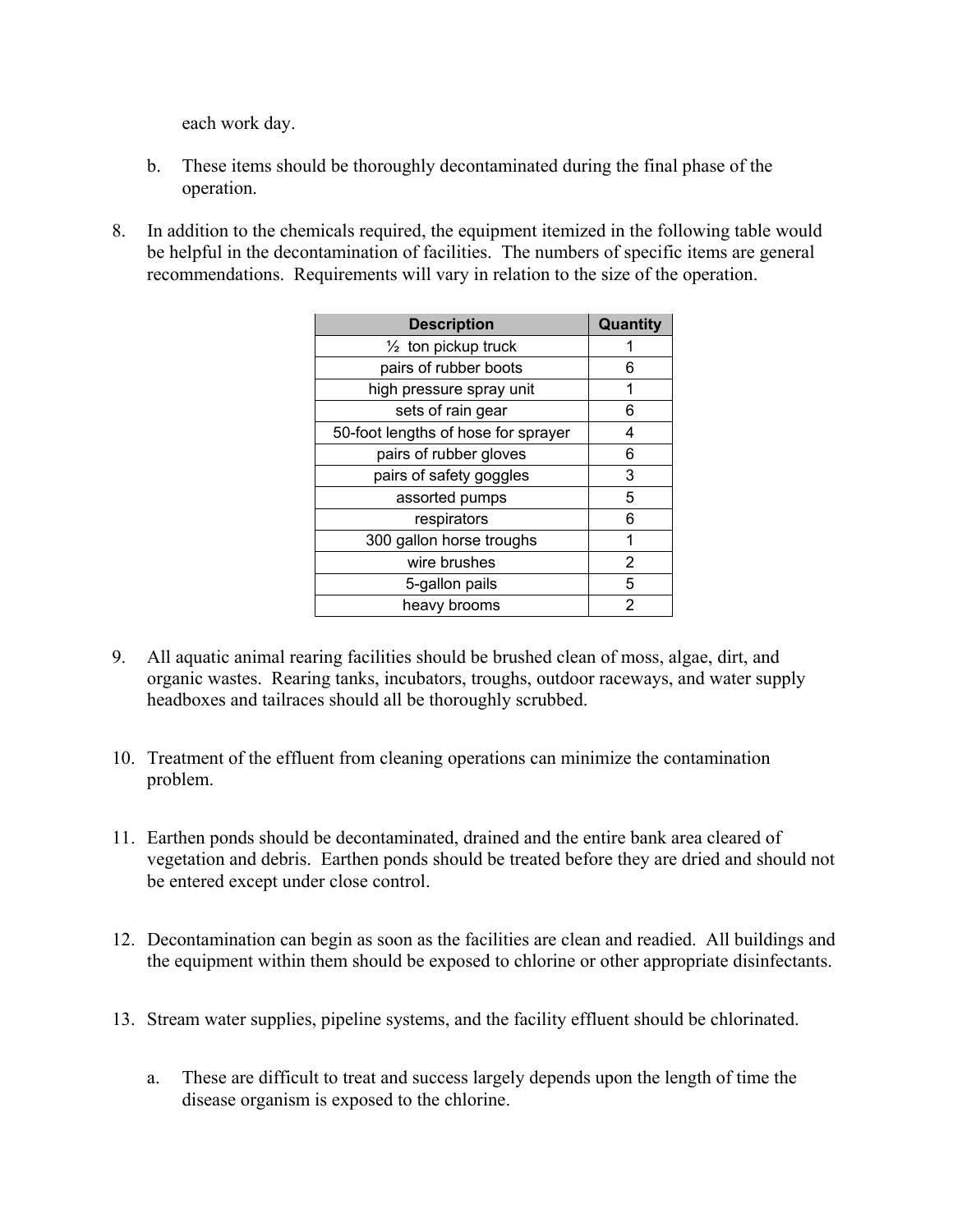each work day.

- b. These items should be thoroughly decontaminated during the final phase of the operation.
- 8. In addition to the chemicals required, the equipment itemized in the following table would be helpful in the decontamination of facilities. The numbers of specific items are general recommendations. Requirements will vary in relation to the size of the operation.

| <b>Description</b>                  | Quantity |
|-------------------------------------|----------|
| 1/ <sub>2</sub> ton pickup truck    |          |
| pairs of rubber boots               | 6        |
| high pressure spray unit            | 1        |
| sets of rain gear                   | 6        |
| 50-foot lengths of hose for sprayer | 4        |
| pairs of rubber gloves              | 6        |
| pairs of safety goggles             | 3        |
| assorted pumps                      | 5        |
| respirators                         | 6        |
| 300 gallon horse troughs            | 1        |
| wire brushes                        | 2        |
| 5-gallon pails                      | 5        |
| heavy brooms                        | 2        |

- 9. All aquatic animal rearing facilities should be brushed clean of moss, algae, dirt, and organic wastes. Rearing tanks, incubators, troughs, outdoor raceways, and water supply headboxes and tailraces should all be thoroughly scrubbed.
- 10. Treatment of the effluent from cleaning operations can minimize the contamination problem.
- 11. Earthen ponds should be decontaminated, drained and the entire bank area cleared of vegetation and debris. Earthen ponds should be treated before they are dried and should not be entered except under close control.
- 12. Decontamination can begin as soon as the facilities are clean and readied. All buildings and the equipment within them should be exposed to chlorine or other appropriate disinfectants.
- 13. Stream water supplies, pipeline systems, and the facility effluent should be chlorinated.
	- a. These are difficult to treat and success largely depends upon the length of time the disease organism is exposed to the chlorine.